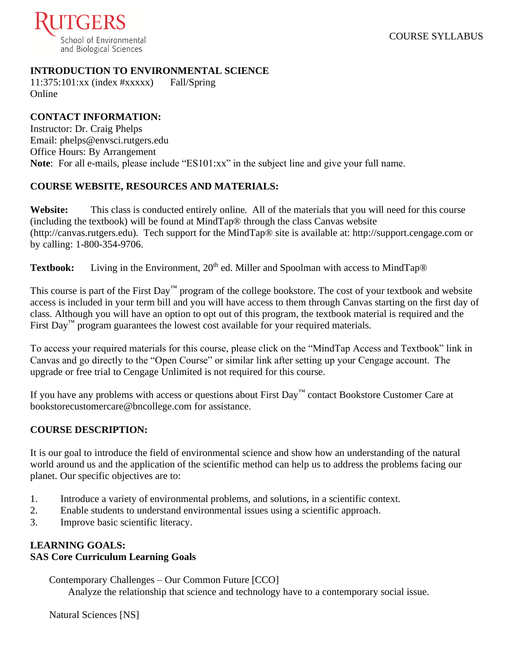

## **INTRODUCTION TO ENVIRONMENTAL SCIENCE**

 $11:375:101:xx$  (index  $\#xxxxx$ ) Fall/Spring Online

## **CONTACT INFORMATION:**

Instructor: Dr. Craig Phelps Email: phelps@envsci.rutgers.edu Office Hours: By Arrangement **Note**: For all e-mails, please include "ES101:xx" in the subject line and give your full name.

## **COURSE WEBSITE, RESOURCES AND MATERIALS:**

**Website:** This class is conducted entirely online. All of the materials that you will need for this course (including the textbook) will be found at MindTap® through the class Canvas website (http://canvas.rutgers.edu). Tech support for the MindTap® site is available at: http://support.cengage.com or by calling: 1-800-354-9706.

Textbook: Living in the Environment, 20<sup>th</sup> ed. Miller and Spoolman with access to MindTap®

This course is part of the First Day™ program of the college bookstore. The cost of your textbook and website access is included in your term bill and you will have access to them through Canvas starting on the first day of class. Although you will have an option to opt out of this program, the textbook material is required and the First Day<sup>™</sup> program guarantees the lowest cost available for your required materials.

To access your required materials for this course, please click on the "MindTap Access and Textbook" link in Canvas and go directly to the "Open Course" or similar link after setting up your Cengage account. The upgrade or free trial to Cengage Unlimited is not required for this course.

If you have any problems with access or questions about First Day™ contact Bookstore Customer Care at bookstorecustomercare@bncollege.com for assistance.

## **COURSE DESCRIPTION:**

It is our goal to introduce the field of environmental science and show how an understanding of the natural world around us and the application of the scientific method can help us to address the problems facing our planet. Our specific objectives are to:

- 1. Introduce a variety of environmental problems, and solutions, in a scientific context.
- 2. Enable students to understand environmental issues using a scientific approach.
- 3. Improve basic scientific literacy.

## **LEARNING GOALS: SAS Core Curriculum Learning Goals**

Contemporary Challenges – Our Common Future [CCO] Analyze the relationship that science and technology have to a contemporary social issue.

Natural Sciences [NS]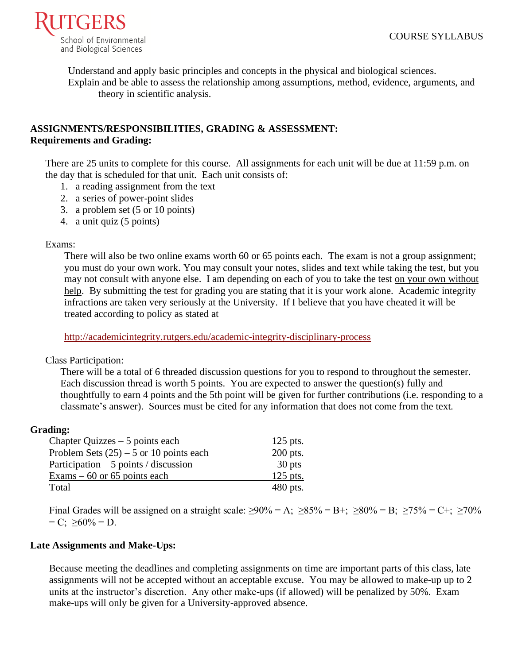

Understand and apply basic principles and concepts in the physical and biological sciences. Explain and be able to assess the relationship among assumptions, method, evidence, arguments, and theory in scientific analysis.

## **ASSIGNMENTS/RESPONSIBILITIES, GRADING & ASSESSMENT: Requirements and Grading:**

There are 25 units to complete for this course. All assignments for each unit will be due at 11:59 p.m. on the day that is scheduled for that unit. Each unit consists of:

- 1. a reading assignment from the text
- 2. a series of power-point slides
- 3. a problem set (5 or 10 points)
- 4. a unit quiz (5 points)

#### Exams:

There will also be two online exams worth 60 or 65 points each. The exam is not a group assignment; you must do your own work. You may consult your notes, slides and text while taking the test, but you may not consult with anyone else. I am depending on each of you to take the test on your own without help. By submitting the test for grading you are stating that it is your work alone. Academic integrity infractions are taken very seriously at the University. If I believe that you have cheated it will be treated according to policy as stated at

<http://academicintegrity.rutgers.edu/academic-integrity-disciplinary-process>

#### Class Participation:

There will be a total of 6 threaded discussion questions for you to respond to throughout the semester. Each discussion thread is worth 5 points. You are expected to answer the question(s) fully and thoughtfully to earn 4 points and the 5th point will be given for further contributions (i.e. responding to a classmate's answer). Sources must be cited for any information that does not come from the text.

#### **Grading:**

| Chapter Quizzes $-5$ points each          | $125$ pts. |
|-------------------------------------------|------------|
| Problem Sets $(25)$ – 5 or 10 points each | 200 pts.   |
| Participation $-5$ points / discussion    | 30 pts     |
| Exams $-60$ or 65 points each             | $125$ pts. |
| Total                                     | $480$ pts. |

Final Grades will be assigned on a straight scale:  $\geq 90\% = A$ ;  $\geq 85\% = B$ +;  $\geq 80\% = B$ ;  $\geq 75\% = C$ +;  $\geq 70\%$  $= C$ ;  $>60\% = D$ .

#### **Late Assignments and Make-Ups:**

Because meeting the deadlines and completing assignments on time are important parts of this class, late assignments will not be accepted without an acceptable excuse. You may be allowed to make-up up to 2 units at the instructor's discretion. Any other make-ups (if allowed) will be penalized by 50%. Exam make-ups will only be given for a University-approved absence.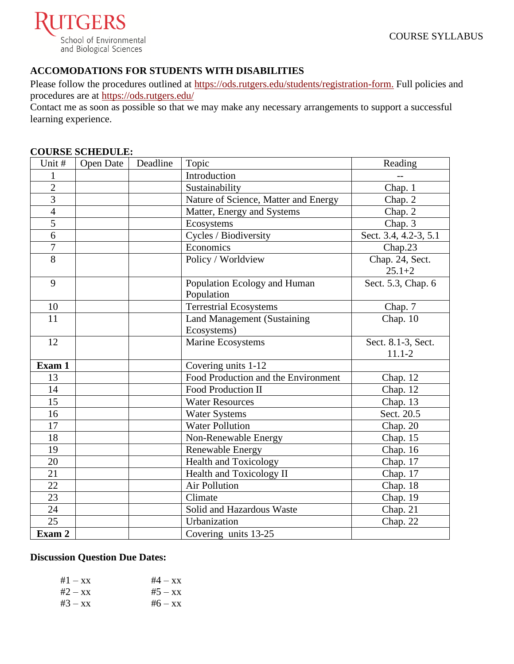

# **ACCOMODATIONS FOR STUDENTS WITH DISABILITIES**

Please follow the procedures outlined at [https://ods.rutgers.edu/students/registration-form.](https://ods.rutgers.edu/students/registration-form) Full policies and procedures are at<https://ods.rutgers.edu/>

Contact me as soon as possible so that we may make any necessary arrangements to support a successful learning experience.

#### **COURSE SCHEDULE:**

| Unit #         | <b>Open Date</b> | Deadline | Topic                                | Reading               |
|----------------|------------------|----------|--------------------------------------|-----------------------|
| 1              |                  |          | Introduction                         |                       |
| $\overline{2}$ |                  |          | Sustainability                       | Chap. 1               |
| $\overline{3}$ |                  |          | Nature of Science, Matter and Energy | Chap. 2               |
| $\overline{4}$ |                  |          | Matter, Energy and Systems           | Chap. 2               |
| $\overline{5}$ |                  |          | Ecosystems                           | Chap. $3$             |
| $\overline{6}$ |                  |          | Cycles / Biodiversity                | Sect. 3.4, 4.2-3, 5.1 |
| $\overline{7}$ |                  |          | Economics                            | Chap.23               |
| 8              |                  |          | Policy / Worldview                   | Chap. 24, Sect.       |
|                |                  |          |                                      | $25.1 + 2$            |
| 9              |                  |          | Population Ecology and Human         | Sect. 5.3, Chap. 6    |
|                |                  |          | Population                           |                       |
| 10             |                  |          | <b>Terrestrial Ecosystems</b>        | Chap. 7               |
| 11             |                  |          | <b>Land Management (Sustaining</b>   | Chap. $10$            |
|                |                  |          | Ecosystems)                          |                       |
| 12             |                  |          | Marine Ecosystems                    | Sect. 8.1-3, Sect.    |
|                |                  |          |                                      | $11.1 - 2$            |
| Exam 1         |                  |          | Covering units 1-12                  |                       |
| 13             |                  |          | Food Production and the Environment  | Chap. 12              |
| 14             |                  |          | Food Production II                   | Chap. 12              |
| 15             |                  |          | <b>Water Resources</b>               | Chap. 13              |
| 16             |                  |          | <b>Water Systems</b>                 | Sect. 20.5            |
| 17             |                  |          | Water Pollution                      | Chap. 20              |
| 18             |                  |          | Non-Renewable Energy                 | Chap. 15              |
| 19             |                  |          | Renewable Energy                     | Chap. 16              |
| 20             |                  |          | <b>Health and Toxicology</b>         | Chap. 17              |
| 21             |                  |          | Health and Toxicology II             | Chap. 17              |
| 22             |                  |          | <b>Air Pollution</b>                 | Chap. 18              |
| 23             |                  |          | Climate                              | Chap. 19              |
| 24             |                  |          | Solid and Hazardous Waste            | Chap. 21              |
| 25             |                  |          | Urbanization                         | Chap. 22              |
| Exam 2         |                  |          | Covering units 13-25                 |                       |

## **Discussion Question Due Dates:**

| $#4 - xx$ |
|-----------|
| $#5 - xx$ |
| $#6 - xx$ |
|           |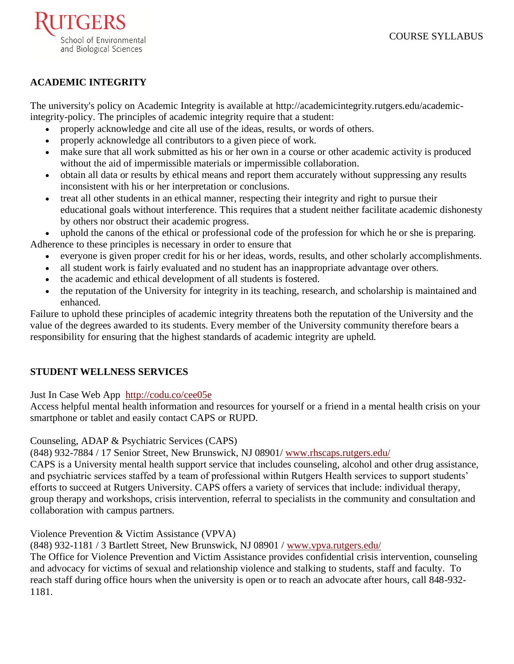

## **ACADEMIC INTEGRITY**

The university's policy on Academic Integrity is available at [http://academicintegrity.rutgers.edu/academic](http://academicintegrity.rutgers.edu/academic-integrity-policy)[integrity-policy.](http://academicintegrity.rutgers.edu/academic-integrity-policy) The principles of academic integrity require that a student:

- properly acknowledge and cite all use of the ideas, results, or words of others.
- properly acknowledge all contributors to a given piece of work.
- make sure that all work submitted as his or her own in a course or other academic activity is produced without the aid of impermissible materials or impermissible collaboration.
- obtain all data or results by ethical means and report them accurately without suppressing any results inconsistent with his or her interpretation or conclusions.
- treat all other students in an ethical manner, respecting their integrity and right to pursue their educational goals without interference. This requires that a student neither facilitate academic dishonesty by others nor obstruct their academic progress.

uphold the canons of the ethical or professional code of the profession for which he or she is preparing. Adherence to these principles is necessary in order to ensure that

- everyone is given proper credit for his or her ideas, words, results, and other scholarly accomplishments.
- all student work is fairly evaluated and no student has an inappropriate advantage over others.
- the academic and ethical development of all students is fostered.
- the reputation of the University for integrity in its teaching, research, and scholarship is maintained and enhanced.

Failure to uphold these principles of academic integrity threatens both the reputation of the University and the value of the degrees awarded to its students. Every member of the University community therefore bears a responsibility for ensuring that the highest standards of academic integrity are upheld.

## **STUDENT WELLNESS SERVICES**

[Just In Case Web App](http://m.appcreatorpro.com/m/rutgers/fda9f59ca5/fda9f59ca5.html) <http://codu.co/cee05e>

Access helpful mental health information and resources for yourself or a friend in a mental health crisis on your smartphone or tablet and easily contact CAPS or RUPD.

Counseling, ADAP & Psychiatric Services (CAPS)

(848) 932-7884 / 17 Senior Street, New Brunswick, NJ 08901/ [www.rhscaps.rutgers.edu/](http://www.rhscaps.rutgers.edu/)

CAPS is a University mental health support service that includes counseling, alcohol and other drug assistance, and psychiatric services staffed by a team of professional within Rutgers Health services to support students' efforts to succeed at Rutgers University. CAPS offers a variety of services that include: individual therapy, group therapy and workshops, crisis intervention, referral to specialists in the community and consultation and collaboration with campus partners.

## Violence Prevention & Victim Assistance (VPVA)

(848) 932-1181 / 3 Bartlett Street, New Brunswick, NJ 08901 / [www.vpva.rutgers.edu/](http://www.vpva.rutgers.edu/)

The Office for Violence Prevention and Victim Assistance provides confidential crisis intervention, counseling and advocacy for victims of sexual and relationship violence and stalking to students, staff and faculty. To reach staff during office hours when the university is open or to reach an advocate after hours, call 848-932- 1181.